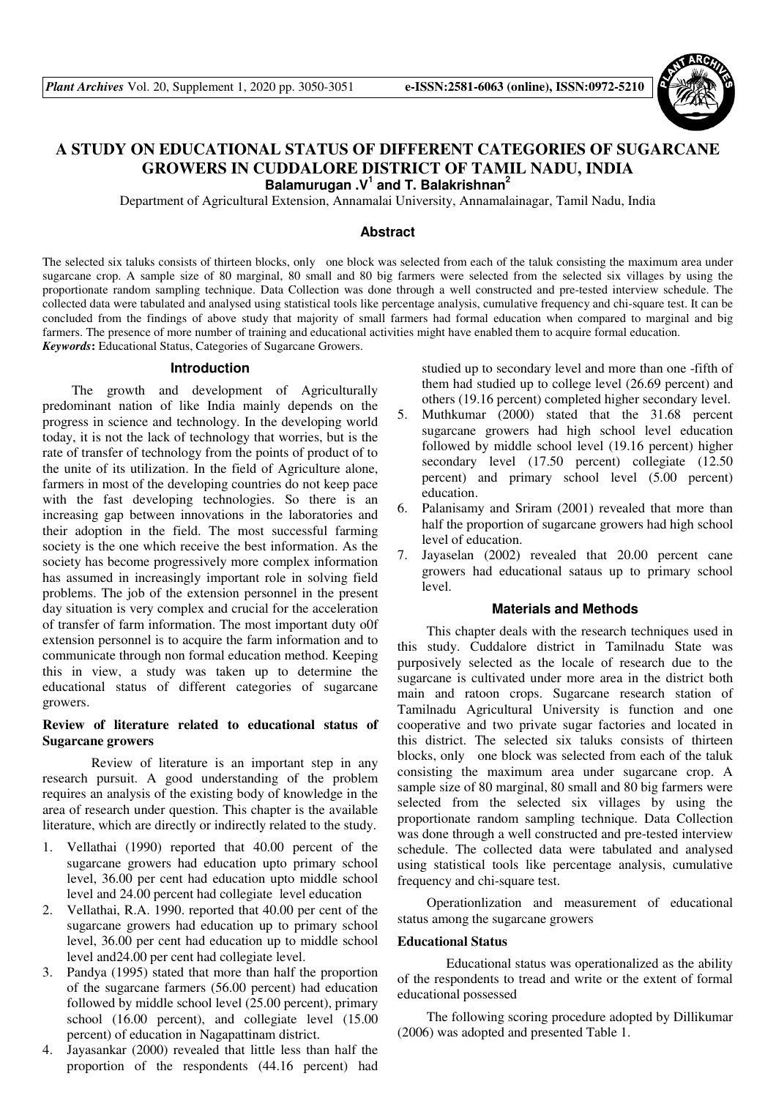

# **A STUDY ON EDUCATIONAL STATUS OF DIFFERENT CATEGORIES OF SUGARCANE GROWERS IN CUDDALORE DISTRICT OF TAMIL NADU, INDIA Balamurugan .V<sup>1</sup> and T. Balakrishnan<sup>2</sup>**

Department of Agricultural Extension, Annamalai University, Annamalainagar, Tamil Nadu, India

# **Abstract**

The selected six taluks consists of thirteen blocks, only one block was selected from each of the taluk consisting the maximum area under sugarcane crop. A sample size of 80 marginal, 80 small and 80 big farmers were selected from the selected six villages by using the proportionate random sampling technique. Data Collection was done through a well constructed and pre-tested interview schedule. The collected data were tabulated and analysed using statistical tools like percentage analysis, cumulative frequency and chi-square test. It can be concluded from the findings of above study that majority of small farmers had formal education when compared to marginal and big farmers. The presence of more number of training and educational activities might have enabled them to acquire formal education. *Keywords***:** Educational Status, Categories of Sugarcane Growers.

### **Introduction**

The growth and development of Agriculturally predominant nation of like India mainly depends on the progress in science and technology. In the developing world today, it is not the lack of technology that worries, but is the rate of transfer of technology from the points of product of to the unite of its utilization. In the field of Agriculture alone, farmers in most of the developing countries do not keep pace with the fast developing technologies. So there is an increasing gap between innovations in the laboratories and their adoption in the field. The most successful farming society is the one which receive the best information. As the society has become progressively more complex information has assumed in increasingly important role in solving field problems. The job of the extension personnel in the present day situation is very complex and crucial for the acceleration of transfer of farm information. The most important duty o0f extension personnel is to acquire the farm information and to communicate through non formal education method. Keeping this in view, a study was taken up to determine the educational status of different categories of sugarcane growers.

# **Review of literature related to educational status of Sugarcane growers**

 Review of literature is an important step in any research pursuit. A good understanding of the problem requires an analysis of the existing body of knowledge in the area of research under question. This chapter is the available literature, which are directly or indirectly related to the study.

- 1. Vellathai (1990) reported that 40.00 percent of the sugarcane growers had education upto primary school level, 36.00 per cent had education upto middle school level and 24.00 percent had collegiate level education
- 2. Vellathai, R.A. 1990. reported that 40.00 per cent of the sugarcane growers had education up to primary school level, 36.00 per cent had education up to middle school level and24.00 per cent had collegiate level.
- 3. Pandya (1995) stated that more than half the proportion of the sugarcane farmers (56.00 percent) had education followed by middle school level (25.00 percent), primary school (16.00 percent), and collegiate level (15.00 percent) of education in Nagapattinam district.
- 4. Jayasankar (2000) revealed that little less than half the proportion of the respondents (44.16 percent) had

studied up to secondary level and more than one -fifth of them had studied up to college level (26.69 percent) and others (19.16 percent) completed higher secondary level.

- 5. Muthkumar (2000) stated that the 31.68 percent sugarcane growers had high school level education followed by middle school level (19.16 percent) higher secondary level (17.50 percent) collegiate (12.50 percent) and primary school level (5.00 percent) education.
- 6. Palanisamy and Sriram (2001) revealed that more than half the proportion of sugarcane growers had high school level of education.
- 7. Jayaselan (2002) revealed that 20.00 percent cane growers had educational sataus up to primary school level.

# **Materials and Methods**

This chapter deals with the research techniques used in this study. Cuddalore district in Tamilnadu State was purposively selected as the locale of research due to the sugarcane is cultivated under more area in the district both main and ratoon crops. Sugarcane research station of Tamilnadu Agricultural University is function and one cooperative and two private sugar factories and located in this district. The selected six taluks consists of thirteen blocks, only one block was selected from each of the taluk consisting the maximum area under sugarcane crop. A sample size of 80 marginal, 80 small and 80 big farmers were selected from the selected six villages by using the proportionate random sampling technique. Data Collection was done through a well constructed and pre-tested interview schedule. The collected data were tabulated and analysed using statistical tools like percentage analysis, cumulative frequency and chi-square test.

Operationlization and measurement of educational status among the sugarcane growers

### **Educational Status**

 Educational status was operationalized as the ability of the respondents to tread and write or the extent of formal educational possessed

The following scoring procedure adopted by Dillikumar (2006) was adopted and presented Table 1.